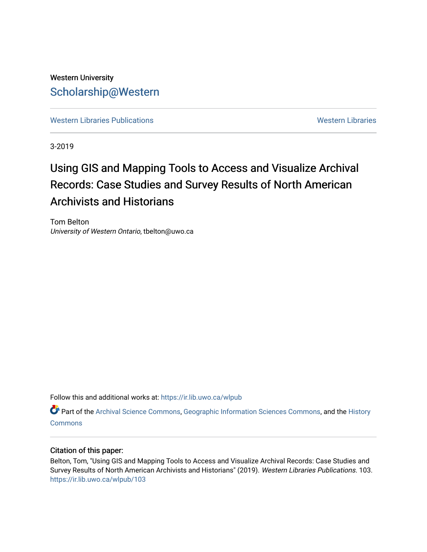## Western University [Scholarship@Western](https://ir.lib.uwo.ca/)

[Western Libraries Publications](https://ir.lib.uwo.ca/wlpub) **Western Libraries** Western Libraries

3-2019

# Using GIS and Mapping Tools to Access and Visualize Archival Records: Case Studies and Survey Results of North American Archivists and Historians

Tom Belton University of Western Ontario, tbelton@uwo.ca

Follow this and additional works at: [https://ir.lib.uwo.ca/wlpub](https://ir.lib.uwo.ca/wlpub?utm_source=ir.lib.uwo.ca%2Fwlpub%2F103&utm_medium=PDF&utm_campaign=PDFCoverPages) 

Part of the [Archival Science Commons,](http://network.bepress.com/hgg/discipline/1021?utm_source=ir.lib.uwo.ca%2Fwlpub%2F103&utm_medium=PDF&utm_campaign=PDFCoverPages) [Geographic Information Sciences Commons,](http://network.bepress.com/hgg/discipline/358?utm_source=ir.lib.uwo.ca%2Fwlpub%2F103&utm_medium=PDF&utm_campaign=PDFCoverPages) and the [History](http://network.bepress.com/hgg/discipline/489?utm_source=ir.lib.uwo.ca%2Fwlpub%2F103&utm_medium=PDF&utm_campaign=PDFCoverPages)  **[Commons](http://network.bepress.com/hgg/discipline/489?utm_source=ir.lib.uwo.ca%2Fwlpub%2F103&utm_medium=PDF&utm_campaign=PDFCoverPages)** 

## Citation of this paper:

Belton, Tom, "Using GIS and Mapping Tools to Access and Visualize Archival Records: Case Studies and Survey Results of North American Archivists and Historians" (2019). Western Libraries Publications. 103. [https://ir.lib.uwo.ca/wlpub/103](https://ir.lib.uwo.ca/wlpub/103?utm_source=ir.lib.uwo.ca%2Fwlpub%2F103&utm_medium=PDF&utm_campaign=PDFCoverPages)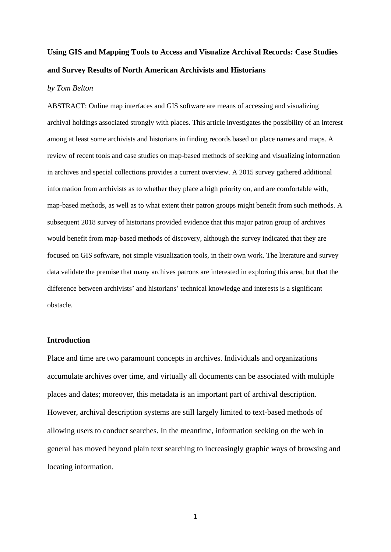## **Using GIS and Mapping Tools to Access and Visualize Archival Records: Case Studies and Survey Results of North American Archivists and Historians**

#### *by Tom Belton*

ABSTRACT: Online map interfaces and GIS software are means of accessing and visualizing archival holdings associated strongly with places. This article investigates the possibility of an interest among at least some archivists and historians in finding records based on place names and maps. A review of recent tools and case studies on map-based methods of seeking and visualizing information in archives and special collections provides a current overview. A 2015 survey gathered additional information from archivists as to whether they place a high priority on, and are comfortable with, map-based methods, as well as to what extent their patron groups might benefit from such methods. A subsequent 2018 survey of historians provided evidence that this major patron group of archives would benefit from map-based methods of discovery, although the survey indicated that they are focused on GIS software, not simple visualization tools, in their own work. The literature and survey data validate the premise that many archives patrons are interested in exploring this area, but that the difference between archivists' and historians' technical knowledge and interests is a significant obstacle.

## **Introduction**

Place and time are two paramount concepts in archives. Individuals and organizations accumulate archives over time, and virtually all documents can be associated with multiple places and dates; moreover, this metadata is an important part of archival description. However, archival description systems are still largely limited to text-based methods of allowing users to conduct searches. In the meantime, information seeking on the web in general has moved beyond plain text searching to increasingly graphic ways of browsing and locating information.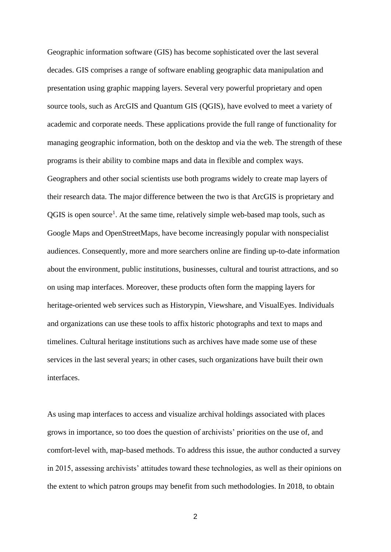Geographic information software (GIS) has become sophisticated over the last several decades. GIS comprises a range of software enabling geographic data manipulation and presentation using graphic mapping layers. Several very powerful proprietary and open source tools, such as ArcGIS and Quantum GIS (QGIS), have evolved to meet a variety of academic and corporate needs. These applications provide the full range of functionality for managing geographic information, both on the desktop and via the web. The strength of these programs is their ability to combine maps and data in flexible and complex ways. Geographers and other social scientists use both programs widely to create map layers of their research data. The major difference between the two is that ArcGIS is proprietary and QGIS is open source<sup>1</sup>. At the same time, relatively simple web-based map tools, such as Google Maps and OpenStreetMaps, have become increasingly popular with nonspecialist audiences. Consequently, more and more searchers online are finding up-to-date information about the environment, public institutions, businesses, cultural and tourist attractions, and so on using map interfaces. Moreover, these products often form the mapping layers for heritage-oriented web services such as Historypin, Viewshare, and VisualEyes. Individuals and organizations can use these tools to affix historic photographs and text to maps and timelines. Cultural heritage institutions such as archives have made some use of these services in the last several years; in other cases, such organizations have built their own interfaces.

As using map interfaces to access and visualize archival holdings associated with places grows in importance, so too does the question of archivists' priorities on the use of, and comfort-level with, map-based methods. To address this issue, the author conducted a survey in 2015, assessing archivists' attitudes toward these technologies, as well as their opinions on the extent to which patron groups may benefit from such methodologies. In 2018, to obtain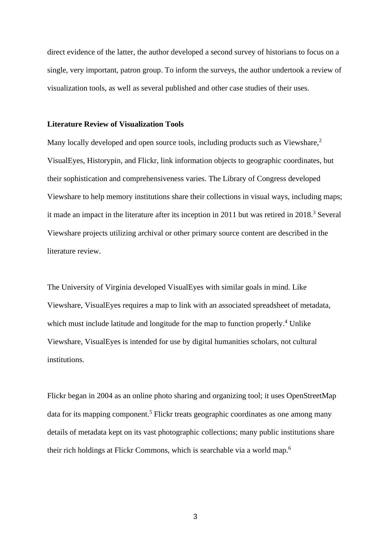direct evidence of the latter, the author developed a second survey of historians to focus on a single, very important, patron group. To inform the surveys, the author undertook a review of visualization tools, as well as several published and other case studies of their uses.

#### **Literature Review of Visualization Tools**

Many locally developed and open source tools, including products such as Viewshare,<sup>2</sup> VisualEyes, Historypin, and Flickr, link information objects to geographic coordinates, but their sophistication and comprehensiveness varies. The Library of Congress developed Viewshare to help memory institutions share their collections in visual ways, including maps; it made an impact in the literature after its inception in 2011 but was retired in 2018. <sup>3</sup> Several Viewshare projects utilizing archival or other primary source content are described in the literature review.

The University of Virginia developed VisualEyes with similar goals in mind. Like Viewshare, VisualEyes requires a map to link with an associated spreadsheet of metadata, which must include latitude and longitude for the map to function properly.<sup>4</sup> Unlike Viewshare, VisualEyes is intended for use by digital humanities scholars, not cultural institutions.

Flickr began in 2004 as an online photo sharing and organizing tool; it uses OpenStreetMap data for its mapping component.<sup>5</sup> Flickr treats geographic coordinates as one among many details of metadata kept on its vast photographic collections; many public institutions share their rich holdings at Flickr Commons, which is searchable via a world map.<sup>6</sup>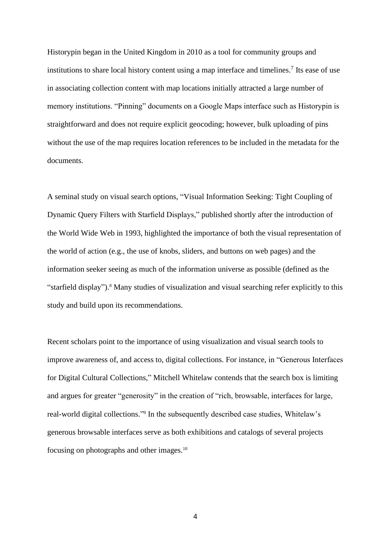Historypin began in the United Kingdom in 2010 as a tool for community groups and institutions to share local history content using a map interface and timelines.<sup>7</sup> Its ease of use in associating collection content with map locations initially attracted a large number of memory institutions. "Pinning" documents on a Google Maps interface such as Historypin is straightforward and does not require explicit geocoding; however, bulk uploading of pins without the use of the map requires location references to be included in the metadata for the documents.

A seminal study on visual search options, "Visual Information Seeking: Tight Coupling of Dynamic Query Filters with Starfield Displays," published shortly after the introduction of the World Wide Web in 1993, highlighted the importance of both the visual representation of the world of action (e.g., the use of knobs, sliders, and buttons on web pages) and the information seeker seeing as much of the information universe as possible (defined as the "starfield display").<sup>8</sup> Many studies of visualization and visual searching refer explicitly to this study and build upon its recommendations.

Recent scholars point to the importance of using visualization and visual search tools to improve awareness of, and access to, digital collections. For instance, in "Generous Interfaces for Digital Cultural Collections," Mitchell Whitelaw contends that the search box is limiting and argues for greater "generosity" in the creation of "rich, browsable, interfaces for large, real-world digital collections." 9 In the subsequently described case studies, Whitelaw's generous browsable interfaces serve as both exhibitions and catalogs of several projects focusing on photographs and other images.10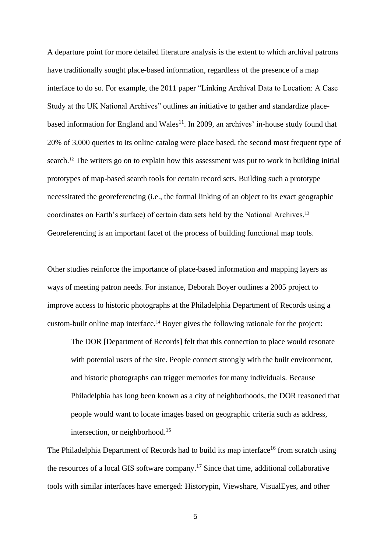A departure point for more detailed literature analysis is the extent to which archival patrons have traditionally sought place-based information, regardless of the presence of a map interface to do so. For example, the 2011 paper "Linking Archival Data to Location: A Case Study at the UK National Archives" outlines an initiative to gather and standardize placebased information for England and Wales<sup>11</sup>. In 2009, an archives' in-house study found that 20% of 3,000 queries to its online catalog were place based, the second most frequent type of search.<sup>12</sup> The writers go on to explain how this assessment was put to work in building initial prototypes of map-based search tools for certain record sets. Building such a prototype necessitated the georeferencing (i.e., the formal linking of an object to its exact geographic coordinates on Earth's surface) of certain data sets held by the National Archives.<sup>13</sup> Georeferencing is an important facet of the process of building functional map tools.

Other studies reinforce the importance of place-based information and mapping layers as ways of meeting patron needs. For instance, Deborah Boyer outlines a 2005 project to improve access to historic photographs at the Philadelphia Department of Records using a custom-built online map interface.<sup>14</sup> Boyer gives the following rationale for the project:

The DOR [Department of Records] felt that this connection to place would resonate with potential users of the site. People connect strongly with the built environment, and historic photographs can trigger memories for many individuals. Because Philadelphia has long been known as a city of neighborhoods, the DOR reasoned that people would want to locate images based on geographic criteria such as address, intersection, or neighborhood.<sup>15</sup>

The Philadelphia Department of Records had to build its map interface<sup>16</sup> from scratch using the resources of a local GIS software company. <sup>17</sup> Since that time, additional collaborative tools with similar interfaces have emerged: Historypin, Viewshare, VisualEyes, and other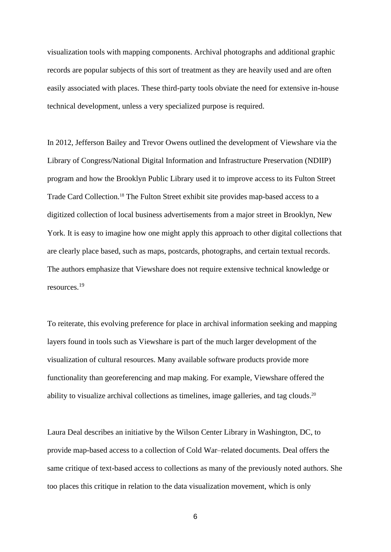visualization tools with mapping components. Archival photographs and additional graphic records are popular subjects of this sort of treatment as they are heavily used and are often easily associated with places. These third-party tools obviate the need for extensive in-house technical development, unless a very specialized purpose is required.

In 2012, Jefferson Bailey and Trevor Owens outlined the development of Viewshare via the Library of Congress/National Digital Information and Infrastructure Preservation (NDIIP) program and how the Brooklyn Public Library used it to improve access to its Fulton Street Trade Card Collection.<sup>18</sup> The Fulton Street exhibit site provides map-based access to a digitized collection of local business advertisements from a major street in Brooklyn, New York. It is easy to imagine how one might apply this approach to other digital collections that are clearly place based, such as maps, postcards, photographs, and certain textual records. The authors emphasize that Viewshare does not require extensive technical knowledge or resources.<sup>19</sup>

To reiterate, this evolving preference for place in archival information seeking and mapping layers found in tools such as Viewshare is part of the much larger development of the visualization of cultural resources. Many available software products provide more functionality than georeferencing and map making. For example, Viewshare offered the ability to visualize archival collections as timelines, image galleries, and tag clouds.<sup>20</sup>

Laura Deal describes an initiative by the Wilson Center Library in Washington, DC, to provide map-based access to a collection of Cold War–related documents. Deal offers the same critique of text-based access to collections as many of the previously noted authors. She too places this critique in relation to the data visualization movement, which is only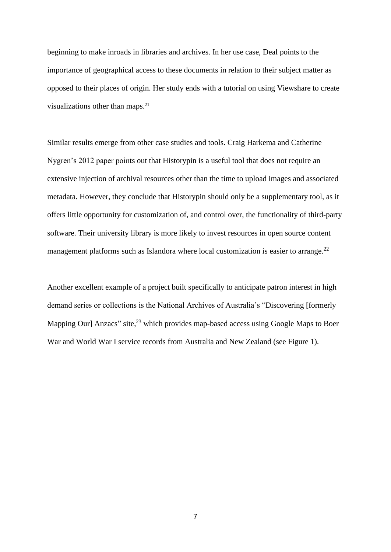beginning to make inroads in libraries and archives. In her use case, Deal points to the importance of geographical access to these documents in relation to their subject matter as opposed to their places of origin. Her study ends with a tutorial on using Viewshare to create visualizations other than maps.<sup>21</sup>

Similar results emerge from other case studies and tools. Craig Harkema and Catherine Nygren's 2012 paper points out that Historypin is a useful tool that does not require an extensive injection of archival resources other than the time to upload images and associated metadata. However, they conclude that Historypin should only be a supplementary tool, as it offers little opportunity for customization of, and control over, the functionality of third-party software. Their university library is more likely to invest resources in open source content management platforms such as Islandora where local customization is easier to arrange.<sup>22</sup>

Another excellent example of a project built specifically to anticipate patron interest in high demand series or collections is the National Archives of Australia's "Discovering [formerly Mapping Our] Anzacs" site,<sup>23</sup> which provides map-based access using Google Maps to Boer War and World War I service records from Australia and New Zealand (see Figure 1).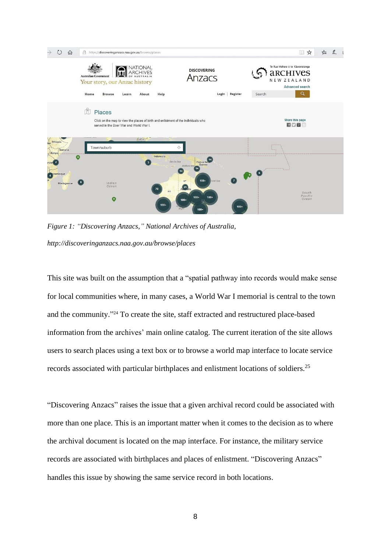

*Figure 1: "Discovering Anzacs," National Archives of Australia, http://discoveringanzacs.naa.gov.au/browse/places*

This site was built on the assumption that a "spatial pathway into records would make sense for local communities where, in many cases, a World War I memorial is central to the town and the community." <sup>24</sup> To create the site, staff extracted and restructured place-based information from the archives' main online catalog. The current iteration of the site allows users to search places using a text box or to browse a world map interface to locate service records associated with particular birthplaces and enlistment locations of soldiers.<sup>25</sup>

"Discovering Anzacs" raises the issue that a given archival record could be associated with more than one place. This is an important matter when it comes to the decision as to where the archival document is located on the map interface. For instance, the military service records are associated with birthplaces and places of enlistment. "Discovering Anzacs" handles this issue by showing the same service record in both locations.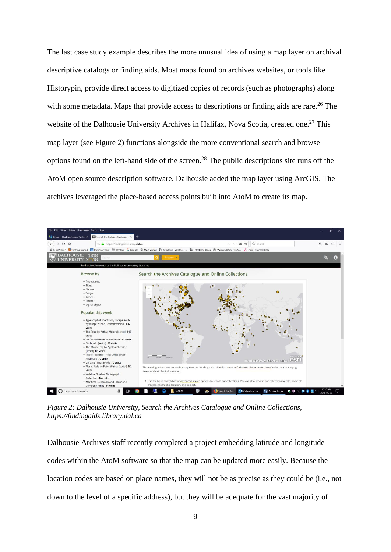The last case study example describes the more unusual idea of using a map layer on archival descriptive catalogs or finding aids. Most maps found on archives websites, or tools like Historypin, provide direct access to digitized copies of records (such as photographs) along with some metadata. Maps that provide access to descriptions or finding aids are rare.<sup>26</sup> The website of the Dalhousie University Archives in Halifax, Nova Scotia, created one.<sup>27</sup> This map layer (see Figure 2) functions alongside the more conventional search and browse options found on the left-hand side of the screen. <sup>28</sup> The public descriptions site runs off the AtoM open source description software. Dalhousie added the map layer using ArcGIS. The archives leveraged the place-based access points built into AtoM to create its map.



*Figure 2: Dalhousie University, Search the Archives Catalogue and Online Collections, https://findingaids.library.dal.ca*

Dalhousie Archives staff recently completed a project embedding latitude and longitude codes within the AtoM software so that the map can be updated more easily. Because the location codes are based on place names, they will not be as precise as they could be (i.e., not down to the level of a specific address), but they will be adequate for the vast majority of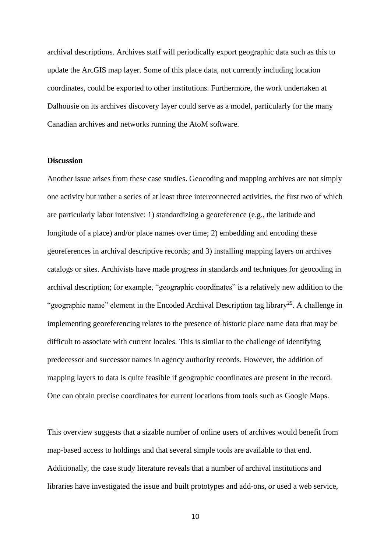archival descriptions. Archives staff will periodically export geographic data such as this to update the ArcGIS map layer. Some of this place data, not currently including location coordinates, could be exported to other institutions. Furthermore, the work undertaken at Dalhousie on its archives discovery layer could serve as a model, particularly for the many Canadian archives and networks running the AtoM software.

## **Discussion**

Another issue arises from these case studies. Geocoding and mapping archives are not simply one activity but rather a series of at least three interconnected activities, the first two of which are particularly labor intensive: 1) standardizing a georeference (e.g., the latitude and longitude of a place) and/or place names over time; 2) embedding and encoding these georeferences in archival descriptive records; and 3) installing mapping layers on archives catalogs or sites. Archivists have made progress in standards and techniques for geocoding in archival description; for example, "geographic coordinates" is a relatively new addition to the "geographic name" element in the Encoded Archival Description tag library<sup>29</sup>. A challenge in implementing georeferencing relates to the presence of historic place name data that may be difficult to associate with current locales. This is similar to the challenge of identifying predecessor and successor names in agency authority records. However, the addition of mapping layers to data is quite feasible if geographic coordinates are present in the record. One can obtain precise coordinates for current locations from tools such as Google Maps.

This overview suggests that a sizable number of online users of archives would benefit from map-based access to holdings and that several simple tools are available to that end. Additionally, the case study literature reveals that a number of archival institutions and libraries have investigated the issue and built prototypes and add-ons, or used a web service,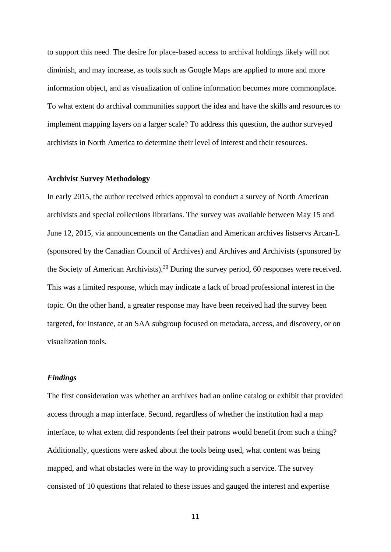to support this need. The desire for place-based access to archival holdings likely will not diminish, and may increase, as tools such as Google Maps are applied to more and more information object, and as visualization of online information becomes more commonplace. To what extent do archival communities support the idea and have the skills and resources to implement mapping layers on a larger scale? To address this question, the author surveyed archivists in North America to determine their level of interest and their resources.

## **Archivist Survey Methodology**

In early 2015, the author received ethics approval to conduct a survey of North American archivists and special collections librarians. The survey was available between May 15 and June 12, 2015, via announcements on the Canadian and American archives listservs Arcan-L (sponsored by the Canadian Council of Archives) and Archives and Archivists (sponsored by the Society of American Archivists).<sup>30</sup> During the survey period, 60 responses were received. This was a limited response, which may indicate a lack of broad professional interest in the topic. On the other hand, a greater response may have been received had the survey been targeted, for instance, at an SAA subgroup focused on metadata, access, and discovery, or on visualization tools.

### *Findings*

The first consideration was whether an archives had an online catalog or exhibit that provided access through a map interface. Second, regardless of whether the institution had a map interface, to what extent did respondents feel their patrons would benefit from such a thing? Additionally, questions were asked about the tools being used, what content was being mapped, and what obstacles were in the way to providing such a service. The survey consisted of 10 questions that related to these issues and gauged the interest and expertise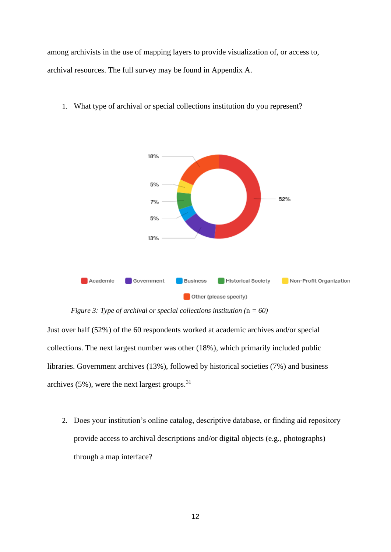among archivists in the use of mapping layers to provide visualization of, or access to, archival resources. The full survey may be found in Appendix A.



1. What type of archival or special collections institution do you represent?

*Figure 3: Type of archival or special collections institution (*n *= 60)*

Just over half (52%) of the 60 respondents worked at academic archives and/or special collections. The next largest number was other (18%), which primarily included public libraries. Government archives (13%), followed by historical societies (7%) and business archives  $(5\%)$ , were the next largest groups.<sup>31</sup>

2. Does your institution's online catalog, descriptive database, or finding aid repository provide access to archival descriptions and/or digital objects (e.g., photographs) through a map interface?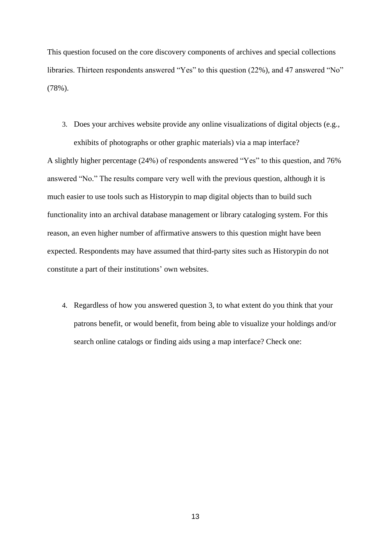This question focused on the core discovery components of archives and special collections libraries. Thirteen respondents answered "Yes" to this question (22%), and 47 answered "No" (78%).

3. Does your archives website provide any online visualizations of digital objects (e.g.,

exhibits of photographs or other graphic materials) via a map interface? A slightly higher percentage (24%) of respondents answered "Yes" to this question, and 76% answered "No." The results compare very well with the previous question, although it is much easier to use tools such as Historypin to map digital objects than to build such functionality into an archival database management or library cataloging system. For this reason, an even higher number of affirmative answers to this question might have been expected. Respondents may have assumed that third-party sites such as Historypin do not constitute a part of their institutions' own websites.

4. Regardless of how you answered question 3, to what extent do you think that your patrons benefit, or would benefit, from being able to visualize your holdings and/or search online catalogs or finding aids using a map interface? Check one: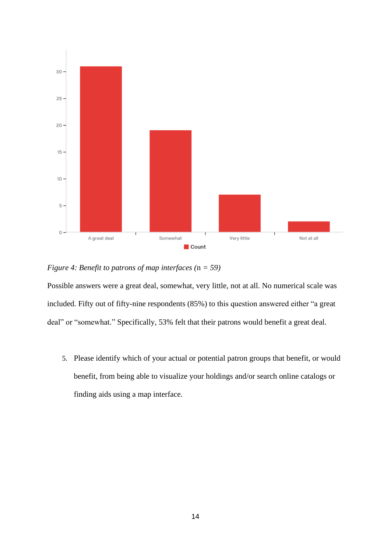

*Figure 4: Benefit to patrons of map interfaces (*n *= 59)*

Possible answers were a great deal, somewhat, very little, not at all. No numerical scale was included. Fifty out of fifty-nine respondents (85%) to this question answered either "a great deal" or "somewhat." Specifically, 53% felt that their patrons would benefit a great deal.

5. Please identify which of your actual or potential patron groups that benefit, or would benefit, from being able to visualize your holdings and/or search online catalogs or finding aids using a map interface.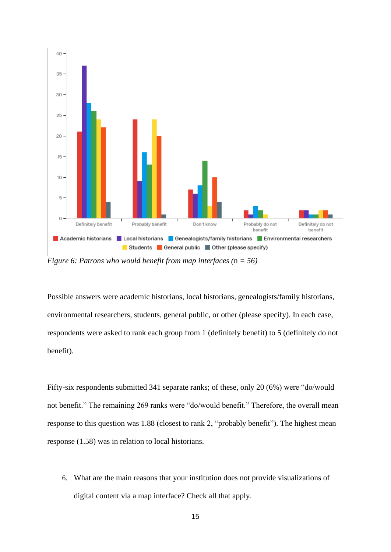

*Figure 6: Patrons who would benefit from map interfaces (*n *= 56)*

Possible answers were academic historians, local historians, genealogists/family historians, environmental researchers, students, general public, or other (please specify). In each case, respondents were asked to rank each group from 1 (definitely benefit) to 5 (definitely do not benefit).

Fifty-six respondents submitted 341 separate ranks; of these, only 20 (6%) were "do/would not benefit." The remaining 269 ranks were "do/would benefit." Therefore, the overall mean response to this question was 1.88 (closest to rank 2, "probably benefit"). The highest mean response (1.58) was in relation to local historians.

6. What are the main reasons that your institution does not provide visualizations of digital content via a map interface? Check all that apply.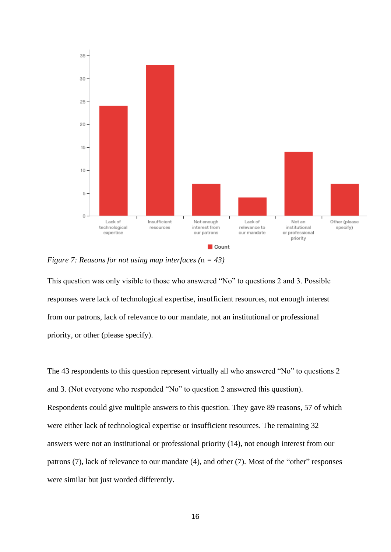

*Figure 7: Reasons for not using map interfaces (*n *= 43)*

This question was only visible to those who answered "No" to questions 2 and 3. Possible responses were lack of technological expertise, insufficient resources, not enough interest from our patrons, lack of relevance to our mandate, not an institutional or professional priority, or other (please specify).

The 43 respondents to this question represent virtually all who answered "No" to questions 2 and 3. (Not everyone who responded "No" to question 2 answered this question). Respondents could give multiple answers to this question. They gave 89 reasons, 57 of which were either lack of technological expertise or insufficient resources. The remaining 32 answers were not an institutional or professional priority (14), not enough interest from our patrons (7), lack of relevance to our mandate (4), and other (7). Most of the "other" responses were similar but just worded differently.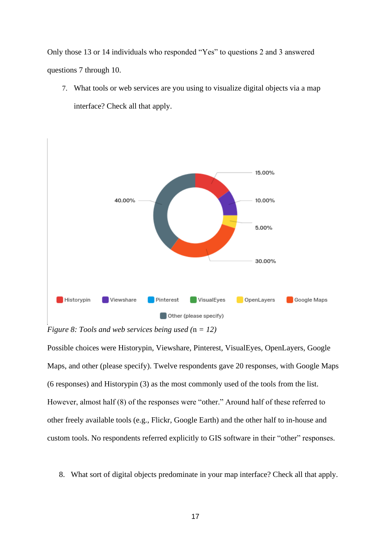Only those 13 or 14 individuals who responded "Yes" to questions 2 and 3 answered questions 7 through 10.

7. What tools or web services are you using to visualize digital objects via a map interface? Check all that apply.



*Figure 8: Tools and web services being used (*n *= 12)*

Possible choices were Historypin, Viewshare, Pinterest, VisualEyes, OpenLayers, Google Maps, and other (please specify). Twelve respondents gave 20 responses, with Google Maps (6 responses) and Historypin (3) as the most commonly used of the tools from the list. However, almost half (8) of the responses were "other." Around half of these referred to other freely available tools (e.g., Flickr, Google Earth) and the other half to in-house and custom tools. No respondents referred explicitly to GIS software in their "other" responses.

8. What sort of digital objects predominate in your map interface? Check all that apply.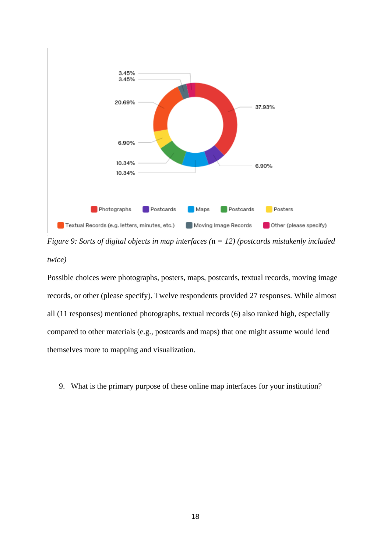

*Figure 9: Sorts of digital objects in map interfaces (*n *= 12) (postcards mistakenly included twice)*

Possible choices were photographs, posters, maps, postcards, textual records, moving image records, or other (please specify). Twelve respondents provided 27 responses. While almost all (11 responses) mentioned photographs, textual records (6) also ranked high, especially compared to other materials (e.g., postcards and maps) that one might assume would lend themselves more to mapping and visualization.

9. What is the primary purpose of these online map interfaces for your institution?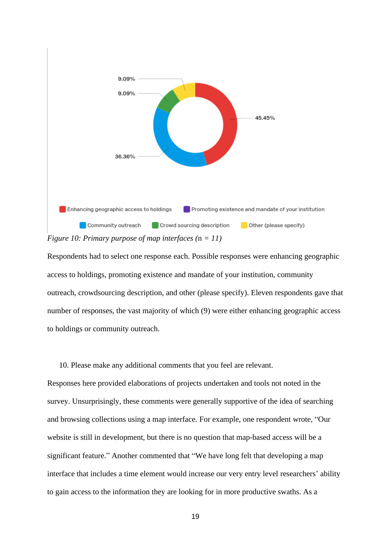

Respondents had to select one response each. Possible responses were enhancing geographic access to holdings, promoting existence and mandate of your institution, community outreach, crowdsourcing description, and other (please specify). Eleven respondents gave that number of responses, the vast majority of which (9) were either enhancing geographic access to holdings or community outreach.

10. Please make any additional comments that you feel are relevant.

Responses here provided elaborations of projects undertaken and tools not noted in the survey. Unsurprisingly, these comments were generally supportive of the idea of searching and browsing collections using a map interface. For example, one respondent wrote, "Our website is still in development, but there is no question that map-based access will be a significant feature." Another commented that "We have long felt that developing a map interface that includes a time element would increase our very entry level researchers' ability to gain access to the information they are looking for in more productive swaths. As a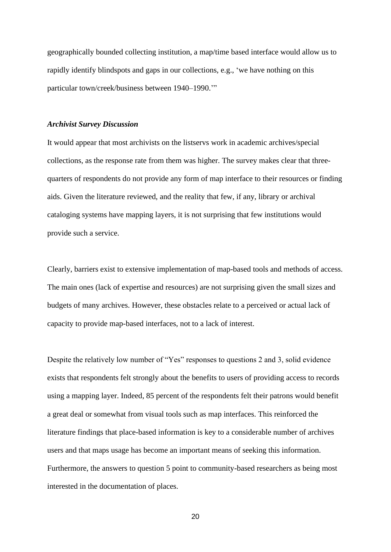geographically bounded collecting institution, a map/time based interface would allow us to rapidly identify blindspots and gaps in our collections, e.g., 'we have nothing on this particular town/creek/business between 1940–1990.'"

#### *Archivist Survey Discussion*

It would appear that most archivists on the listservs work in academic archives/special collections, as the response rate from them was higher. The survey makes clear that threequarters of respondents do not provide any form of map interface to their resources or finding aids. Given the literature reviewed, and the reality that few, if any, library or archival cataloging systems have mapping layers, it is not surprising that few institutions would provide such a service.

Clearly, barriers exist to extensive implementation of map-based tools and methods of access. The main ones (lack of expertise and resources) are not surprising given the small sizes and budgets of many archives. However, these obstacles relate to a perceived or actual lack of capacity to provide map-based interfaces, not to a lack of interest.

Despite the relatively low number of "Yes" responses to questions 2 and 3, solid evidence exists that respondents felt strongly about the benefits to users of providing access to records using a mapping layer. Indeed, 85 percent of the respondents felt their patrons would benefit a great deal or somewhat from visual tools such as map interfaces. This reinforced the literature findings that place-based information is key to a considerable number of archives users and that maps usage has become an important means of seeking this information. Furthermore, the answers to question 5 point to community-based researchers as being most interested in the documentation of places.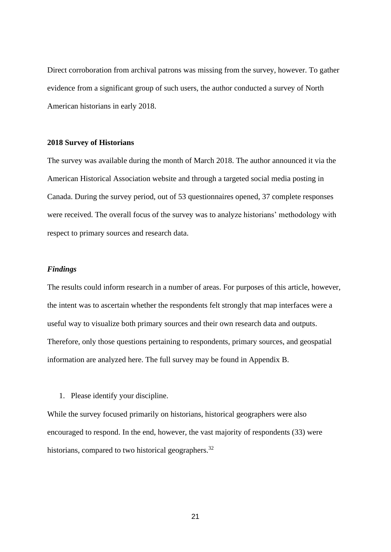Direct corroboration from archival patrons was missing from the survey, however. To gather evidence from a significant group of such users, the author conducted a survey of North American historians in early 2018.

### **2018 Survey of Historians**

The survey was available during the month of March 2018. The author announced it via the American Historical Association website and through a targeted social media posting in Canada. During the survey period, out of 53 questionnaires opened, 37 complete responses were received. The overall focus of the survey was to analyze historians' methodology with respect to primary sources and research data.

## *Findings*

The results could inform research in a number of areas. For purposes of this article, however, the intent was to ascertain whether the respondents felt strongly that map interfaces were a useful way to visualize both primary sources and their own research data and outputs. Therefore, only those questions pertaining to respondents, primary sources, and geospatial information are analyzed here. The full survey may be found in Appendix B.

1. Please identify your discipline.

While the survey focused primarily on historians, historical geographers were also encouraged to respond. In the end, however, the vast majority of respondents (33) were historians, compared to two historical geographers.<sup>32</sup>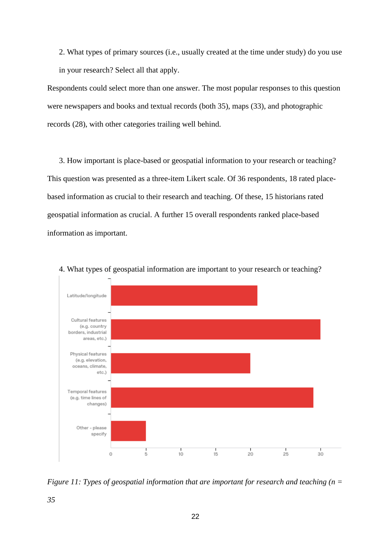2. What types of primary sources (i.e., usually created at the time under study) do you use in your research? Select all that apply.

Respondents could select more than one answer. The most popular responses to this question were newspapers and books and textual records (both 35), maps (33), and photographic records (28), with other categories trailing well behind.

3. How important is place-based or geospatial information to your research or teaching? This question was presented as a three-item Likert scale. Of 36 respondents, 18 rated placebased information as crucial to their research and teaching. Of these, 15 historians rated geospatial information as crucial. A further 15 overall respondents ranked place-based information as important.



4. What types of geospatial information are important to your research or teaching?

*Figure 11: Types of geospatial information that are important for research and teaching (n =*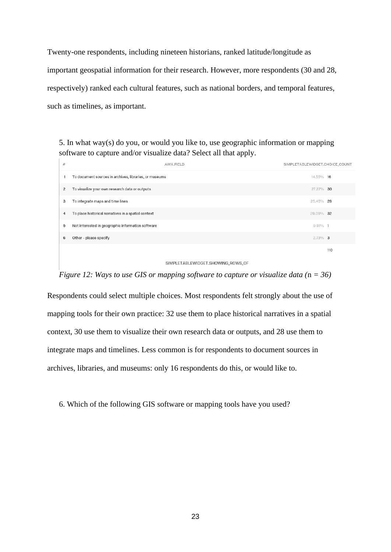Twenty-one respondents, including nineteen historians, ranked latitude/longitude as important geospatial information for their research. However, more respondents (30 and 28, respectively) ranked each cultural features, such as national borders, and temporal features, such as timelines, as important.

5. In what way(s) do you, or would you like to, use geographic information or mapping software to capture and/or visualize data? Select all that apply.

| #              | AWA.FIELD                                              | SIMPLETABLEWIDGET.CHOICE_COUNT |
|----------------|--------------------------------------------------------|--------------------------------|
|                | To document sources in archives, libraries, or museums | 14.55% 16                      |
| $\overline{c}$ | To visualize your own research data or outputs         | 27.27% 30                      |
| 3              | To integrate maps and time lines                       | 25.45%<br>- 28                 |
| 4              | To place historical narratives in a spatial context    | 29.09% 32                      |
| 5              | Not interested in geographic information software      | $0.91\%$ 1                     |
| 6              | Other - please specify                                 | $2.73\%$ 3                     |
|                |                                                        | 110                            |

#### SIMPLETABLEWIDGET.SHOWING\_ROWS\_OF

*Figure 12: Ways to use GIS or mapping software to capture or visualize data* ( $n = 36$ )

Respondents could select multiple choices. Most respondents felt strongly about the use of mapping tools for their own practice: 32 use them to place historical narratives in a spatial context, 30 use them to visualize their own research data or outputs, and 28 use them to integrate maps and timelines. Less common is for respondents to document sources in archives, libraries, and museums: only 16 respondents do this, or would like to.

6. Which of the following GIS software or mapping tools have you used?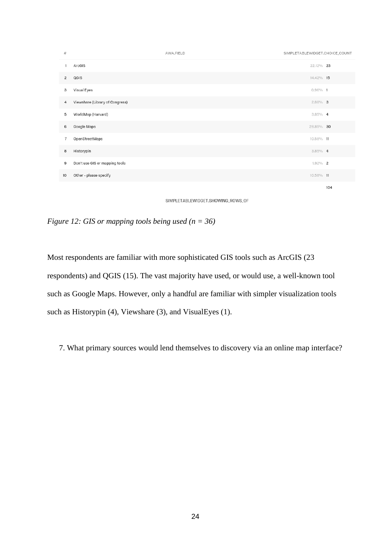

SIMPLETABLEWIDGET.SHOWING\_ROWS\_OF

*Figure 12: GIS or mapping tools being used (n = 36)*

Most respondents are familiar with more sophisticated GIS tools such as ArcGIS (23 respondents) and QGIS (15). The vast majority have used, or would use, a well-known tool such as Google Maps. However, only a handful are familiar with simpler visualization tools such as Historypin (4), Viewshare (3), and VisualEyes (1).

7. What primary sources would lend themselves to discovery via an online map interface?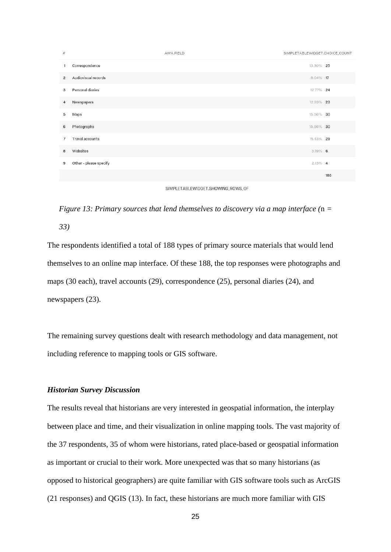



*Figure 13: Primary sources that lend themselves to discovery via a map interface (*n *=* 

*33)*

The respondents identified a total of 188 types of primary source materials that would lend themselves to an online map interface. Of these 188, the top responses were photographs and maps (30 each), travel accounts (29), correspondence (25), personal diaries (24), and newspapers (23).

The remaining survey questions dealt with research methodology and data management, not including reference to mapping tools or GIS software.

## *Historian Survey Discussion*

The results reveal that historians are very interested in geospatial information, the interplay between place and time, and their visualization in online mapping tools. The vast majority of the 37 respondents, 35 of whom were historians, rated place-based or geospatial information as important or crucial to their work. More unexpected was that so many historians (as opposed to historical geographers) are quite familiar with GIS software tools such as ArcGIS (21 responses) and QGIS (13). In fact, these historians are much more familiar with GIS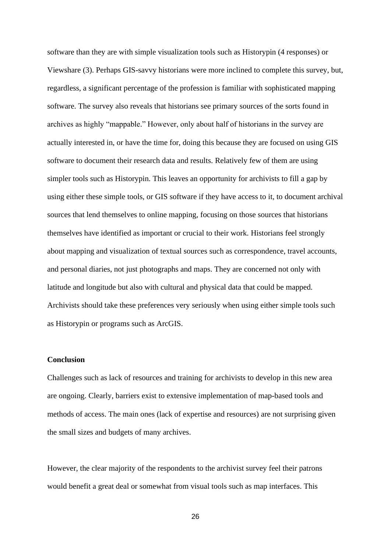software than they are with simple visualization tools such as Historypin (4 responses) or Viewshare (3). Perhaps GIS-savvy historians were more inclined to complete this survey, but, regardless, a significant percentage of the profession is familiar with sophisticated mapping software. The survey also reveals that historians see primary sources of the sorts found in archives as highly "mappable." However, only about half of historians in the survey are actually interested in, or have the time for, doing this because they are focused on using GIS software to document their research data and results. Relatively few of them are using simpler tools such as Historypin. This leaves an opportunity for archivists to fill a gap by using either these simple tools, or GIS software if they have access to it, to document archival sources that lend themselves to online mapping, focusing on those sources that historians themselves have identified as important or crucial to their work. Historians feel strongly about mapping and visualization of textual sources such as correspondence, travel accounts, and personal diaries, not just photographs and maps. They are concerned not only with latitude and longitude but also with cultural and physical data that could be mapped. Archivists should take these preferences very seriously when using either simple tools such as Historypin or programs such as ArcGIS.

## **Conclusion**

Challenges such as lack of resources and training for archivists to develop in this new area are ongoing. Clearly, barriers exist to extensive implementation of map-based tools and methods of access. The main ones (lack of expertise and resources) are not surprising given the small sizes and budgets of many archives.

However, the clear majority of the respondents to the archivist survey feel their patrons would benefit a great deal or somewhat from visual tools such as map interfaces. This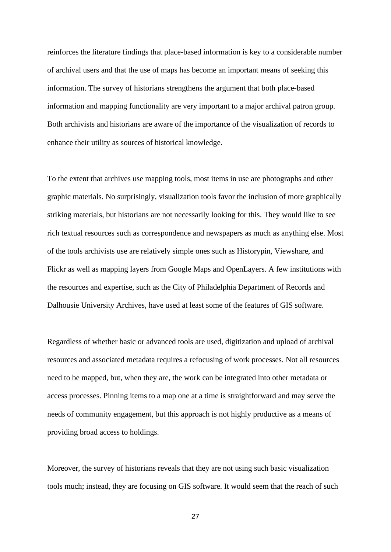reinforces the literature findings that place-based information is key to a considerable number of archival users and that the use of maps has become an important means of seeking this information. The survey of historians strengthens the argument that both place-based information and mapping functionality are very important to a major archival patron group. Both archivists and historians are aware of the importance of the visualization of records to enhance their utility as sources of historical knowledge.

To the extent that archives use mapping tools, most items in use are photographs and other graphic materials. No surprisingly, visualization tools favor the inclusion of more graphically striking materials, but historians are not necessarily looking for this. They would like to see rich textual resources such as correspondence and newspapers as much as anything else. Most of the tools archivists use are relatively simple ones such as Historypin, Viewshare, and Flickr as well as mapping layers from Google Maps and OpenLayers. A few institutions with the resources and expertise, such as the City of Philadelphia Department of Records and Dalhousie University Archives, have used at least some of the features of GIS software.

Regardless of whether basic or advanced tools are used, digitization and upload of archival resources and associated metadata requires a refocusing of work processes. Not all resources need to be mapped, but, when they are, the work can be integrated into other metadata or access processes. Pinning items to a map one at a time is straightforward and may serve the needs of community engagement, but this approach is not highly productive as a means of providing broad access to holdings.

Moreover, the survey of historians reveals that they are not using such basic visualization tools much; instead, they are focusing on GIS software. It would seem that the reach of such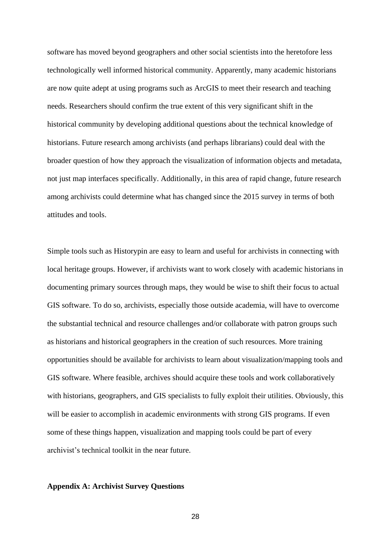software has moved beyond geographers and other social scientists into the heretofore less technologically well informed historical community. Apparently, many academic historians are now quite adept at using programs such as ArcGIS to meet their research and teaching needs. Researchers should confirm the true extent of this very significant shift in the historical community by developing additional questions about the technical knowledge of historians. Future research among archivists (and perhaps librarians) could deal with the broader question of how they approach the visualization of information objects and metadata, not just map interfaces specifically. Additionally, in this area of rapid change, future research among archivists could determine what has changed since the 2015 survey in terms of both attitudes and tools.

Simple tools such as Historypin are easy to learn and useful for archivists in connecting with local heritage groups. However, if archivists want to work closely with academic historians in documenting primary sources through maps, they would be wise to shift their focus to actual GIS software. To do so, archivists, especially those outside academia, will have to overcome the substantial technical and resource challenges and/or collaborate with patron groups such as historians and historical geographers in the creation of such resources. More training opportunities should be available for archivists to learn about visualization/mapping tools and GIS software. Where feasible, archives should acquire these tools and work collaboratively with historians, geographers, and GIS specialists to fully exploit their utilities. Obviously, this will be easier to accomplish in academic environments with strong GIS programs. If even some of these things happen, visualization and mapping tools could be part of every archivist's technical toolkit in the near future.

## **Appendix A: Archivist Survey Questions**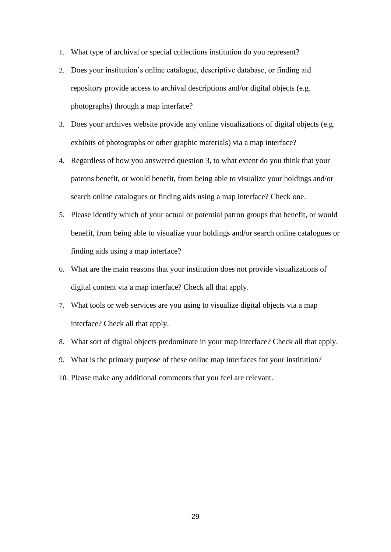- 1. What type of archival or special collections institution do you represent?
- 2. Does your institution's online catalogue, descriptive database, or finding aid repository provide access to archival descriptions and/or digital objects (e.g. photographs) through a map interface?
- 3. Does your archives website provide any online visualizations of digital objects (e.g. exhibits of photographs or other graphic materials) via a map interface?
- 4. Regardless of how you answered question 3, to what extent do you think that your patrons benefit, or would benefit, from being able to visualize your holdings and/or search online catalogues or finding aids using a map interface? Check one.
- 5. Please identify which of your actual or potential patron groups that benefit, or would benefit, from being able to visualize your holdings and/or search online catalogues or finding aids using a map interface?
- 6. What are the main reasons that your institution does not provide visualizations of digital content via a map interface? Check all that apply.
- 7. What tools or web services are you using to visualize digital objects via a map interface? Check all that apply.
- 8. What sort of digital objects predominate in your map interface? Check all that apply.
- 9. What is the primary purpose of these online map interfaces for your institution?
- 10. Please make any additional comments that you feel are relevant.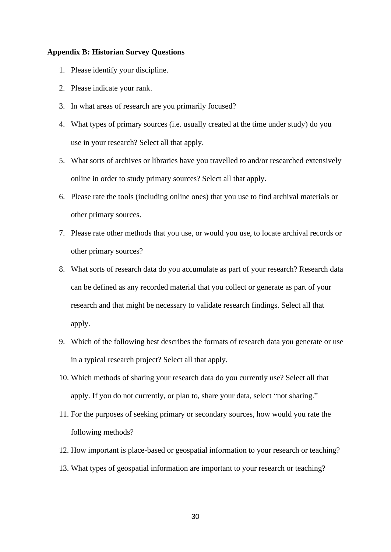## **Appendix B: Historian Survey Questions**

- 1. Please identify your discipline.
- 2. Please indicate your rank.
- 3. In what areas of research are you primarily focused?
- 4. What types of primary sources (i.e. usually created at the time under study) do you use in your research? Select all that apply.
- 5. What sorts of archives or libraries have you travelled to and/or researched extensively online in order to study primary sources? Select all that apply.
- 6. Please rate the tools (including online ones) that you use to find archival materials or other primary sources.
- 7. Please rate other methods that you use, or would you use, to locate archival records or other primary sources?
- 8. What sorts of research data do you accumulate as part of your research? Research data can be defined as any recorded material that you collect or generate as part of your research and that might be necessary to validate research findings. Select all that apply.
- 9. Which of the following best describes the formats of research data you generate or use in a typical research project? Select all that apply.
- 10. Which methods of sharing your research data do you currently use? Select all that apply. If you do not currently, or plan to, share your data, select "not sharing."
- 11. For the purposes of seeking primary or secondary sources, how would you rate the following methods?
- 12. How important is place-based or geospatial information to your research or teaching?
- 13. What types of geospatial information are important to your research or teaching?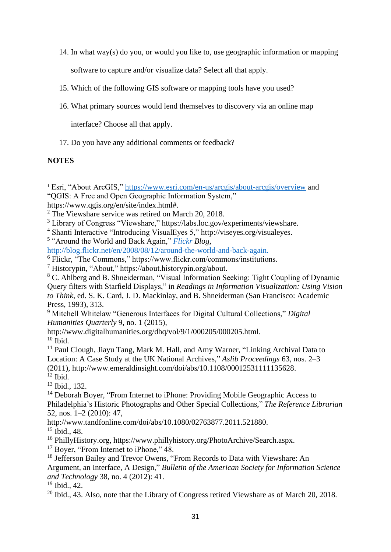14. In what way(s) do you, or would you like to, use geographic information or mapping

software to capture and/or visualize data? Select all that apply.

- 15. Which of the following GIS software or mapping tools have you used?
- 16. What primary sources would lend themselves to discovery via an online map

interface? Choose all that apply.

17. Do you have any additional comments or feedback?

## **NOTES**

5 "Around the World and Back Again," *[Flickr](file://///litera.lib.uwo.pri/homes$/tbelton/documents/Academic%20Activity/Archival%20Issues%20Submission/Flickr) Blog*,

[http://blog.flickr.net/en/2008/08/12/around-the-world-and-back-again.](http://blog.flickr.net/en/2008/08/12/around-the-world-and-back-again/)

<sup>13</sup> Ibid., 132.

<sup>15</sup> Ibid., 48.

<sup>16</sup> PhillyHistory.org, https://www.phillyhistory.org/PhotoArchive/Search.aspx.

<sup>17</sup> Boyer, "From Internet to iPhone," 48.

<sup>18</sup> Jefferson Bailey and Trevor Owens, "From Records to Data with Viewshare: An

<sup>19</sup> Ibid., 42.

<sup>1</sup> Esri, "About ArcGIS,"<https://www.esri.com/en-us/arcgis/about-arcgis/overview> and "QGIS: A Free and Open Geographic Information System,"

https://www.qgis.org/en/site/index.html#.

<sup>2</sup> The Viewshare service was retired on March 20, 2018.

<sup>3</sup> Library of Congress "Viewshare," https://labs.loc.gov/experiments/viewshare.

<sup>4</sup> Shanti Interactive "Introducing VisualEyes 5," http://viseyes.org/visualeyes.

 $\overline{6}$  Flickr, "The Commons," https://www.flickr.com/commons/institutions.

<sup>7</sup> Historypin, "About," https://about.historypin.org/about.

<sup>8</sup> C. Ahlberg and B. Shneiderman, "Visual Information Seeking: Tight Coupling of Dynamic Query filters with Starfield Displays," in *Readings in Information Visualization: Using Vision to Think*, ed. S. K. Card, J. D. Mackinlay, and B. Shneiderman (San Francisco: Academic Press, 1993), 313.

<sup>9</sup> Mitchell Whitelaw "Generous Interfaces for Digital Cultural Collections," *Digital Humanities Quarterly* 9, no. 1 (2015),

http://www.digitalhumanities.org/dhq/vol/9/1/000205/000205.html.  $10$  Ibid.

<sup>&</sup>lt;sup>11</sup> Paul Clough, Jiayu Tang, Mark M. Hall, and Amy Warner, "Linking Archival Data to Location: A Case Study at the UK National Archives," *Aslib Proceedings* 63, nos. 2–3 (2011), http://www.emeraldinsight.com/doi/abs/10.1108/00012531111135628.  $12$  Ibid.

<sup>&</sup>lt;sup>14</sup> Deborah Boyer, "From Internet to iPhone: Providing Mobile Geographic Access to Philadelphia's Historic Photographs and Other Special Collections," *The Reference Librarian* 52, nos. 1–2 (2010): 47,

http://www.tandfonline.com/doi/abs/10.1080/02763877.2011.521880.

Argument, an Interface, A Design," *Bulletin of the American Society for Information Science and Technology* 38, no. 4 (2012): 41.

 $^{20}$  Ibid., 43. Also, note that the Library of Congress retired Viewshare as of March 20, 2018.